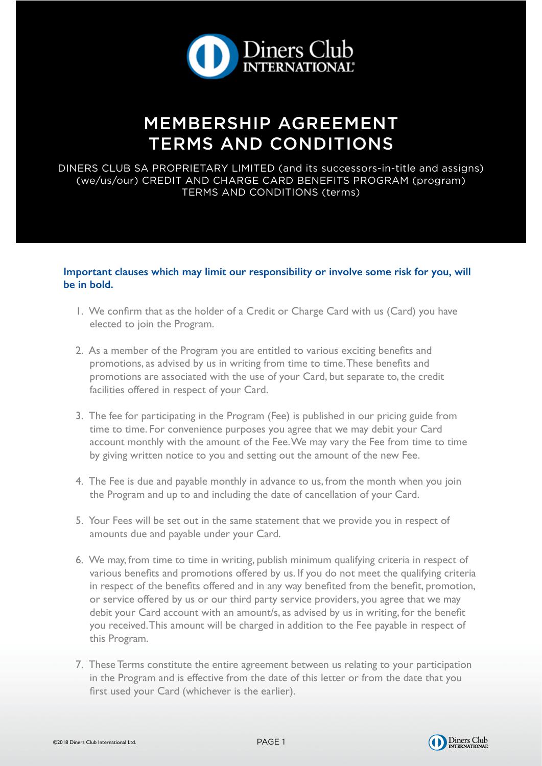

# MEMBERSHIP AGREEMENT TERMS AND CONDITIONS

DINERS CLUB SA PROPRIETARY LIMITED (and its successors-in-title and assigns) (we/us/our) CREDIT AND CHARGE CARD BENEFITS PROGRAM (program) TERMS AND CONDITIONS (terms)

### **Important clauses which may limit our responsibility or involve some risk for you, will be in bold.**

- 1. We confirm that as the holder of a Credit or Charge Card with us (Card) you have elected to join the Program.
- 2. As a member of the Program you are entitled to various exciting benefits and promotions, as advised by us in writing from time to time. These benefits and promotions are associated with the use of your Card, but separate to, the credit facilities offered in respect of your Card.
- 3. The fee for participating in the Program (Fee) is published in our pricing guide from time to time. For convenience purposes you agree that we may debit your Card account monthly with the amount of the Fee. We may vary the Fee from time to time by giving written notice to you and setting out the amount of the new Fee.
- 4. The Fee is due and payable monthly in advance to us, from the month when you join the Program and up to and including the date of cancellation of your Card.
- 5. Your Fees will be set out in the same statement that we provide you in respect of amounts due and payable under your Card.
- 6. We may, from time to time in writing, publish minimum qualifying criteria in respect of various benefits and promotions offered by us. If you do not meet the qualifying criteria in respect of the benefits offered and in any way benefited from the benefit, promotion, or service offered by us or our third party service providers, you agree that we may debit your Card account with an amount/s, as advised by us in writing, for the benefit you received. This amount will be charged in addition to the Fee payable in respect of this Program.
- 7. These Terms constitute the entire agreement between us relating to your participation in the Program and is effective from the date of this letter or from the date that you first used your Card (whichever is the earlier).



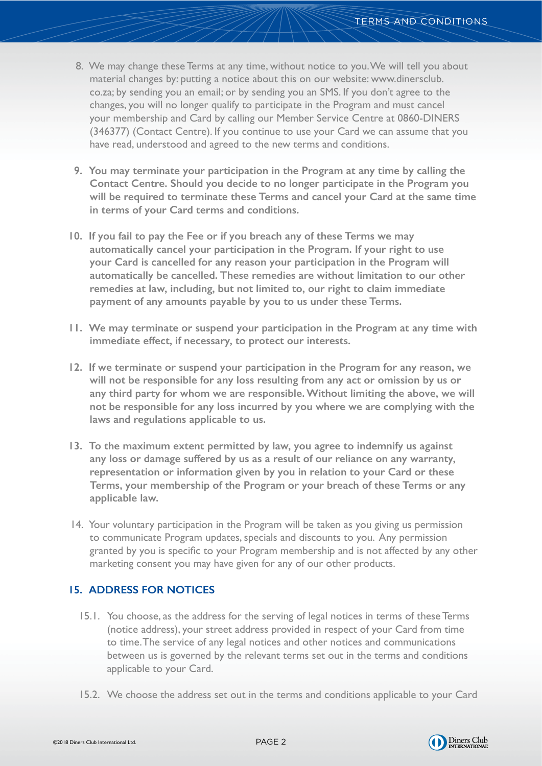- 8. We may change these Terms at any time, without notice to you. We will tell you about material changes by: putting a notice about this on our website: www.dinersclub. co.za; by sending you an email; or by sending you an SMS. If you don't agree to the changes, you will no longer qualify to participate in the Program and must cancel your membership and Card by calling our Member Service Centre at 0860-DINERS (346377) (Contact Centre). If you continue to use your Card we can assume that you have read, understood and agreed to the new terms and conditions.
- **9. You may terminate your participation in the Program at any time by calling the Contact Centre. Should you decide to no longer participate in the Program you will be required to terminate these Terms and cancel your Card at the same time in terms of your Card terms and conditions.**
- **10. If you fail to pay the Fee or if you breach any of these Terms we may automatically cancel your participation in the Program. If your right to use your Card is cancelled for any reason your participation in the Program will automatically be cancelled. These remedies are without limitation to our other remedies at law, including, but not limited to, our right to claim immediate payment of any amounts payable by you to us under these Terms.**
- **11. We may terminate or suspend your participation in the Program at any time with immediate effect, if necessary, to protect our interests.**
- **12. If we terminate or suspend your participation in the Program for any reason, we will not be responsible for any loss resulting from any act or omission by us or any third party for whom we are responsible. Without limiting the above, we will not be responsible for any loss incurred by you where we are complying with the laws and regulations applicable to us.**
- **13. To the maximum extent permitted by law, you agree to indemnify us against any loss or damage suffered by us as a result of our reliance on any warranty, representation or information given by you in relation to your Card or these Terms, your membership of the Program or your breach of these Terms or any applicable law.**
- 14. Your voluntary participation in the Program will be taken as you giving us permission to communicate Program updates, specials and discounts to you. Any permission granted by you is specific to your Program membership and is not affected by any other marketing consent you may have given for any of our other products.

## **15. ADDRESS FOR NOTICES**

- 15.1. You choose, as the address for the serving of legal notices in terms of these Terms (notice address), your street address provided in respect of your Card from time to time. The service of any legal notices and other notices and communications between us is governed by the relevant terms set out in the terms and conditions applicable to your Card.
- 15.2. We choose the address set out in the terms and conditions applicable to your Card

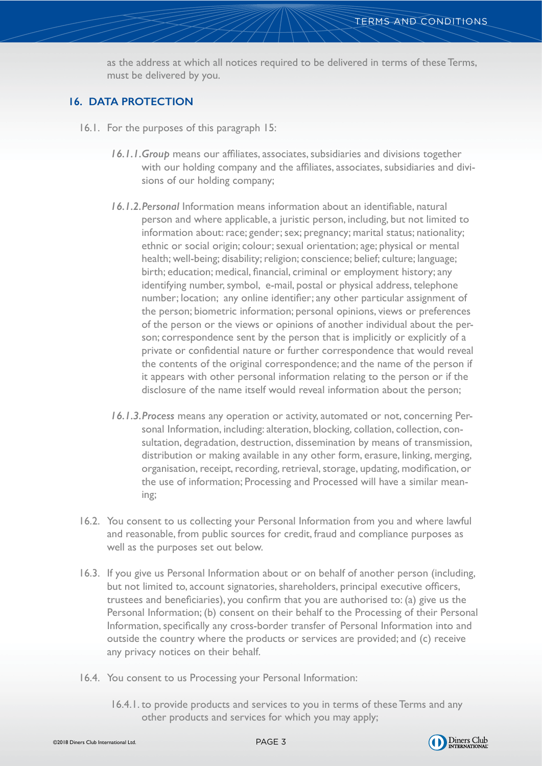as the address at which all notices required to be delivered in terms of these Terms, must be delivered by you.

## **16. DATA PROTECTION**

- 16.1. For the purposes of this paragraph 15:
	- *16.1.1.Group* means our affiliates, associates, subsidiaries and divisions together with our holding company and the affiliates, associates, subsidiaries and divisions of our holding company;
	- *16.1.2.Personal* Information means information about an identifiable, natural person and where applicable, a juristic person, including, but not limited to information about: race; gender; sex; pregnancy; marital status; nationality; ethnic or social origin; colour; sexual orientation; age; physical or mental health; well-being; disability; religion; conscience; belief; culture; language; birth; education; medical, financial, criminal or employment history; any identifying number, symbol, e-mail, postal or physical address, telephone number; location; any online identifier; any other particular assignment of the person; biometric information; personal opinions, views or preferences of the person or the views or opinions of another individual about the person; correspondence sent by the person that is implicitly or explicitly of a private or confidential nature or further correspondence that would reveal the contents of the original correspondence; and the name of the person if it appears with other personal information relating to the person or if the disclosure of the name itself would reveal information about the person;
	- *16.1.3.Process* means any operation or activity, automated or not, concerning Personal Information, including: alteration, blocking, collation, collection, consultation, degradation, destruction, dissemination by means of transmission, distribution or making available in any other form, erasure, linking, merging, organisation, receipt, recording, retrieval, storage, updating, modification, or the use of information; Processing and Processed will have a similar meaning;
- 16.2. You consent to us collecting your Personal Information from you and where lawful and reasonable, from public sources for credit, fraud and compliance purposes as well as the purposes set out below.
- 16.3. If you give us Personal Information about or on behalf of another person (including, but not limited to, account signatories, shareholders, principal executive officers, trustees and beneficiaries), you confirm that you are authorised to: (a) give us the Personal Information; (b) consent on their behalf to the Processing of their Personal Information, specifically any cross-border transfer of Personal Information into and outside the country where the products or services are provided; and (c) receive any privacy notices on their behalf.
- 16.4. You consent to us Processing your Personal Information:
	- 16.4.1. to provide products and services to you in terms of these Terms and any other products and services for which you may apply;

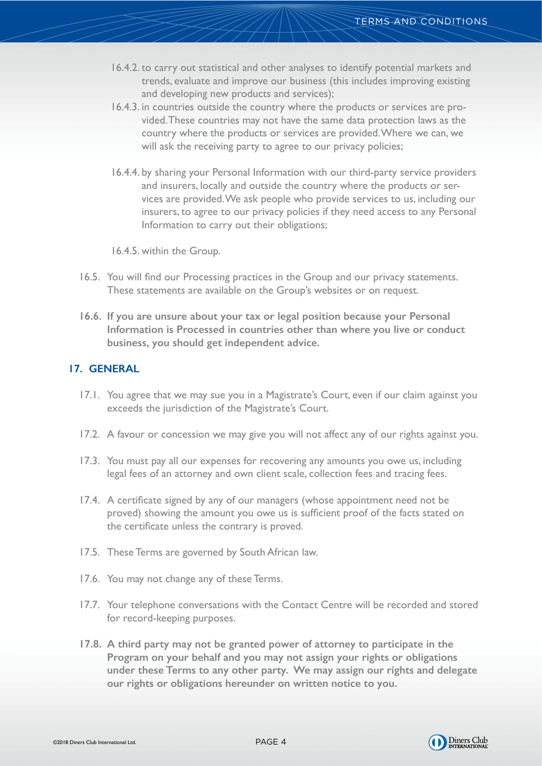- 16.4.2. to carry out statistical and other analyses to identify potential markets and trends, evaluate and improve our business (this includes improving existing and developing new products and services);
- 16.4.3. in countries outside the country where the products or services are provided. These countries may not have the same data protection laws as the country where the products or services are provided. Where we can, we will ask the receiving party to agree to our privacy policies;
- 16.4.4. by sharing your Personal Information with our third-party service providers and insurers, locally and outside the country where the products or services are provided. We ask people who provide services to us, including our insurers, to agree to our privacy policies if they need access to any Personal Information to carry out their obligations;
- 16.4.5. within the Group.
- 16.5. You will find our Processing practices in the Group and our privacy statements. These statements are available on the Group's websites or on request.
- **16.6. If you are unsure about your tax or legal position because your Personal Information is Processed in countries other than where you live or conduct business, you should get independent advice.**

### **17. GENERAL**

- 17.1. You agree that we may sue you in a Magistrate's Court, even if our claim against you exceeds the jurisdiction of the Magistrate's Court.
- 17.2. A favour or concession we may give you will not affect any of our rights against you.
- 17.3. You must pay all our expenses for recovering any amounts you owe us, including legal fees of an attorney and own client scale, collection fees and tracing fees.
- 17.4. A certificate signed by any of our managers (whose appointment need not be proved) showing the amount you owe us is sufficient proof of the facts stated on the certificate unless the contrary is proved.
- 17.5. These Terms are governed by South African law.
- 17.6. You may not change any of these Terms.
- 17.7. Your telephone conversations with the Contact Centre will be recorded and stored for record-keeping purposes.
- **17.8. A third party may not be granted power of attorney to participate in the Program on your behalf and you may not assign your rights or obligations under these Terms to any other party. We may assign our rights and delegate our rights or obligations hereunder on written notice to you.**